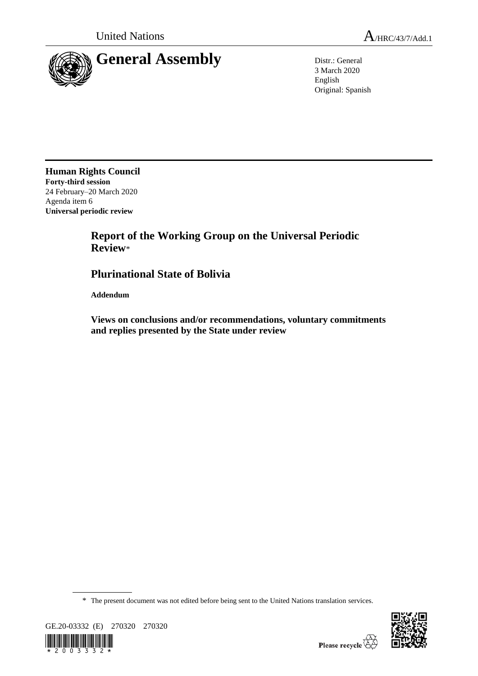



3 March 2020 English Original: Spanish

**Human Rights Council Forty-third session** 24 February–20 March 2020 Agenda item 6 **Universal periodic review**

# **Report of the Working Group on the Universal Periodic Review**\*

# **Plurinational State of Bolivia**

**Addendum**

**Views on conclusions and/or recommendations, voluntary commitments and replies presented by the State under review**

\* The present document was not edited before being sent to the United Nations translation services.



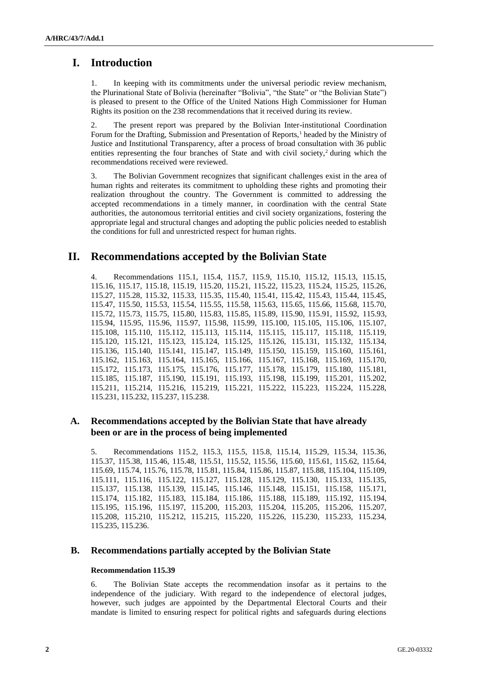## **I. Introduction**

1. In keeping with its commitments under the universal periodic review mechanism, the Plurinational State of Bolivia (hereinafter "Bolivia", "the State" or "the Bolivian State") is pleased to present to the Office of the United Nations High Commissioner for Human Rights its position on the 238 recommendations that it received during its review.

2. The present report was prepared by the Bolivian Inter-institutional Coordination Forum for the Drafting, Submission and Presentation of Reports,<sup>1</sup> headed by the Ministry of Justice and Institutional Transparency, after a process of broad consultation with 36 public entities representing the four branches of State and with civil society,<sup>2</sup> during which the recommendations received were reviewed.

3. The Bolivian Government recognizes that significant challenges exist in the area of human rights and reiterates its commitment to upholding these rights and promoting their realization throughout the country. The Government is committed to addressing the accepted recommendations in a timely manner, in coordination with the central State authorities, the autonomous territorial entities and civil society organizations, fostering the appropriate legal and structural changes and adopting the public policies needed to establish the conditions for full and unrestricted respect for human rights.

## **II. Recommendations accepted by the Bolivian State**

4. Recommendations 115.1, 115.4, 115.7, 115.9, 115.10, 115.12, 115.13, 115.15, 115.16, 115.17, 115.18, 115.19, 115.20, 115.21, 115.22, 115.23, 115.24, 115.25, 115.26, 115.27, 115.28, 115.32, 115.33, 115.35, 115.40, 115.41, 115.42, 115.43, 115.44, 115.45, 115.47, 115.50, 115.53, 115.54, 115.55, 115.58, 115.63, 115.65, 115.66, 115.68, 115.70, 115.72, 115.73, 115.75, 115.80, 115.83, 115.85, 115.89, 115.90, 115.91, 115.92, 115.93, 115.94, 115.95, 115.96, 115.97, 115.98, 115.99, 115.100, 115.105, 115.106, 115.107, 115.108, 115.110, 115.112, 115.113, 115.114, 115.115, 115.117, 115.118, 115.119, 115.120, 115.121, 115.123, 115.124, 115.125, 115.126, 115.131, 115.132, 115.134, 115.136, 115.140, 115.141, 115.147, 115.149, 115.150, 115.159, 115.160, 115.161, 115.162, 115.163, 115.164, 115.165, 115.166, 115.167, 115.168, 115.169, 115.170, 115.172, 115.173, 115.175, 115.176, 115.177, 115.178, 115.179, 115.180, 115.181, 115.185, 115.187, 115.190, 115.191, 115.193, 115.198, 115.199, 115.201, 115.202, 115.211, 115.214, 115.216, 115.219, 115.221, 115.222, 115.223, 115.224, 115.228, 115.231, 115.232, 115.237, 115.238.

### **A. Recommendations accepted by the Bolivian State that have already been or are in the process of being implemented**

5. Recommendations 115.2, 115.3, 115.5, 115.8, 115.14, 115.29, 115.34, 115.36, 115.37, 115.38, 115.46, 115.48, 115.51, 115.52, 115.56, 115.60, 115.61, 115.62, 115.64, 115.69, 115.74, 115.76, 115.78, 115.81, 115.84, 115.86, 115.87, 115.88, 115.104, 115.109, 115.111, 115.116, 115.122, 115.127, 115.128, 115.129, 115.130, 115.133, 115.135, 115.137, 115.138, 115.139, 115.145, 115.146, 115.148, 115.151, 115.158, 115.171, 115.174, 115.182, 115.183, 115.184, 115.186, 115.188, 115.189, 115.192, 115.194, 115.195, 115.196, 115.197, 115.200, 115.203, 115.204, 115.205, 115.206, 115.207, 115.208, 115.210, 115.212, 115.215, 115.220, 115.226, 115.230, 115.233, 115.234, 115.235, 115.236.

### **B. Recommendations partially accepted by the Bolivian State**

#### **Recommendation 115.39**

6. The Bolivian State accepts the recommendation insofar as it pertains to the independence of the judiciary. With regard to the independence of electoral judges, however, such judges are appointed by the Departmental Electoral Courts and their mandate is limited to ensuring respect for political rights and safeguards during elections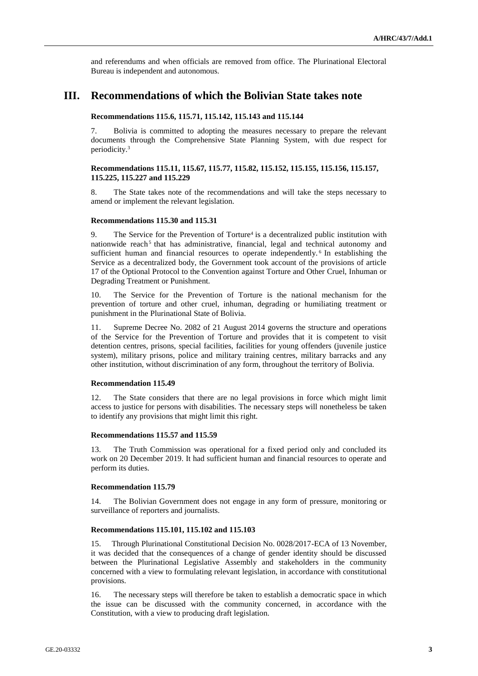and referendums and when officials are removed from office. The Plurinational Electoral Bureau is independent and autonomous.

## **III. Recommendations of which the Bolivian State takes note**

#### **Recommendations 115.6, 115.71, 115.142, 115.143 and 115.144**

7. Bolivia is committed to adopting the measures necessary to prepare the relevant documents through the Comprehensive State Planning System, with due respect for periodicity.<sup>3</sup>

#### **Recommendations 115.11, 115.67, 115.77, 115.82, 115.152, 115.155, 115.156, 115.157, 115.225, 115.227 and 115.229**

8. The State takes note of the recommendations and will take the steps necessary to amend or implement the relevant legislation.

#### **Recommendations 115.30 and 115.31**

9. The Service for the Prevention of Torture<sup>4</sup> is a decentralized public institution with nationwide reach<sup>5</sup> that has administrative, financial, legal and technical autonomy and sufficient human and financial resources to operate independently.<sup>6</sup> In establishing the Service as a decentralized body, the Government took account of the provisions of article 17 of the Optional Protocol to the Convention against Torture and Other Cruel, Inhuman or Degrading Treatment or Punishment.

10. The Service for the Prevention of Torture is the national mechanism for the prevention of torture and other cruel, inhuman, degrading or humiliating treatment or punishment in the Plurinational State of Bolivia.

11. Supreme Decree No. 2082 of 21 August 2014 governs the structure and operations of the Service for the Prevention of Torture and provides that it is competent to visit detention centres, prisons, special facilities, facilities for young offenders (juvenile justice system), military prisons, police and military training centres, military barracks and any other institution, without discrimination of any form, throughout the territory of Bolivia.

#### **Recommendation 115.49**

12. The State considers that there are no legal provisions in force which might limit access to justice for persons with disabilities. The necessary steps will nonetheless be taken to identify any provisions that might limit this right.

#### **Recommendations 115.57 and 115.59**

13. The Truth Commission was operational for a fixed period only and concluded its work on 20 December 2019. It had sufficient human and financial resources to operate and perform its duties.

#### **Recommendation 115.79**

14. The Bolivian Government does not engage in any form of pressure, monitoring or surveillance of reporters and journalists.

#### **Recommendations 115.101, 115.102 and 115.103**

15. Through Plurinational Constitutional Decision No. 0028/2017-ECA of 13 November, it was decided that the consequences of a change of gender identity should be discussed between the Plurinational Legislative Assembly and stakeholders in the community concerned with a view to formulating relevant legislation, in accordance with constitutional provisions.

16. The necessary steps will therefore be taken to establish a democratic space in which the issue can be discussed with the community concerned, in accordance with the Constitution, with a view to producing draft legislation.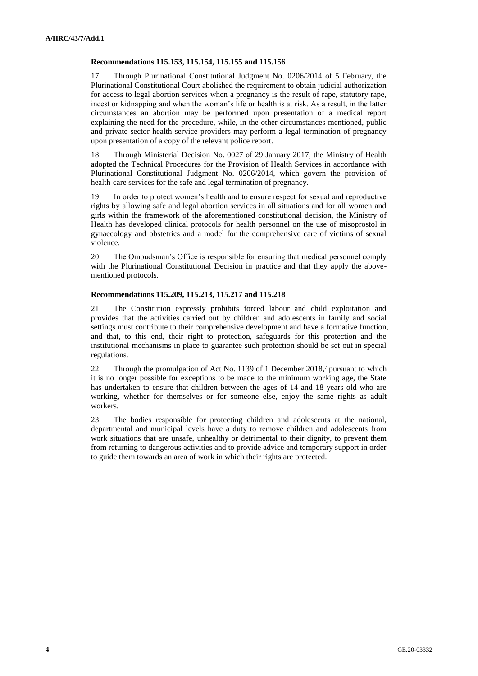#### **Recommendations 115.153, 115.154, 115.155 and 115.156**

17. Through Plurinational Constitutional Judgment No. 0206/2014 of 5 February, the Plurinational Constitutional Court abolished the requirement to obtain judicial authorization for access to legal abortion services when a pregnancy is the result of rape, statutory rape, incest or kidnapping and when the woman's life or health is at risk. As a result, in the latter circumstances an abortion may be performed upon presentation of a medical report explaining the need for the procedure, while, in the other circumstances mentioned, public and private sector health service providers may perform a legal termination of pregnancy upon presentation of a copy of the relevant police report.

18. Through Ministerial Decision No. 0027 of 29 January 2017, the Ministry of Health adopted the Technical Procedures for the Provision of Health Services in accordance with Plurinational Constitutional Judgment No. 0206/2014, which govern the provision of health-care services for the safe and legal termination of pregnancy.

19. In order to protect women's health and to ensure respect for sexual and reproductive rights by allowing safe and legal abortion services in all situations and for all women and girls within the framework of the aforementioned constitutional decision, the Ministry of Health has developed clinical protocols for health personnel on the use of misoprostol in gynaecology and obstetrics and a model for the comprehensive care of victims of sexual violence.

20. The Ombudsman's Office is responsible for ensuring that medical personnel comply with the Plurinational Constitutional Decision in practice and that they apply the abovementioned protocols.

#### **Recommendations 115.209, 115.213, 115.217 and 115.218**

21. The Constitution expressly prohibits forced labour and child exploitation and provides that the activities carried out by children and adolescents in family and social settings must contribute to their comprehensive development and have a formative function, and that, to this end, their right to protection, safeguards for this protection and the institutional mechanisms in place to guarantee such protection should be set out in special regulations.

22. Through the promulgation of Act No. 1139 of 1 December 2018,<sup>7</sup> pursuant to which it is no longer possible for exceptions to be made to the minimum working age, the State has undertaken to ensure that children between the ages of 14 and 18 years old who are working, whether for themselves or for someone else, enjoy the same rights as adult workers.

23. The bodies responsible for protecting children and adolescents at the national, departmental and municipal levels have a duty to remove children and adolescents from work situations that are unsafe, unhealthy or detrimental to their dignity, to prevent them from returning to dangerous activities and to provide advice and temporary support in order to guide them towards an area of work in which their rights are protected.